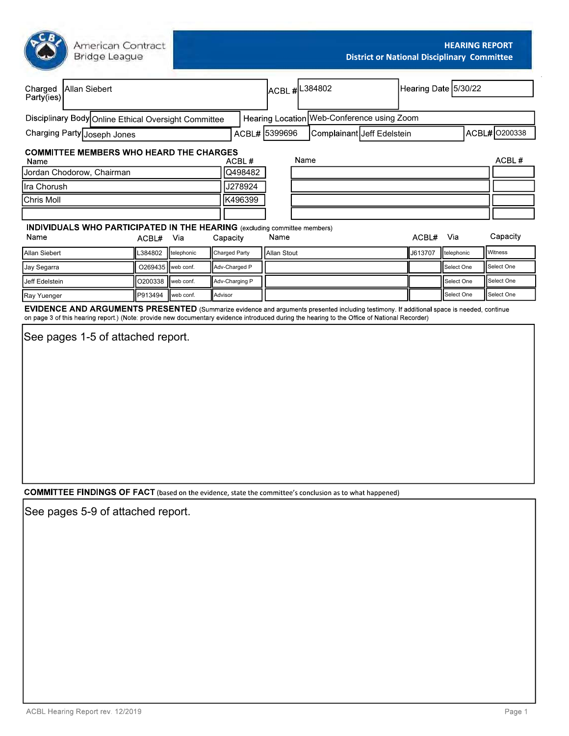| American Cont<br>Bridge League |  |
|--------------------------------|--|
|                                |  |

| American Contract<br>Bridge League                                                                                                                   |                     |            |               |                  |             |                                            |                            |  |           | <b>HEARING REPORT</b><br><b>District or National Disciplinary Committee</b> |               |
|------------------------------------------------------------------------------------------------------------------------------------------------------|---------------------|------------|---------------|------------------|-------------|--------------------------------------------|----------------------------|--|-----------|-----------------------------------------------------------------------------|---------------|
| Charged<br>Party(ies)<br>Allan Siebert                                                                                                               |                     |            |               |                  |             | ACBL # <sup>1</sup> 884802                 |                            |  |           | Hearing Date 5/30/22                                                        |               |
|                                                                                                                                                      |                     |            |               |                  |             |                                            |                            |  |           |                                                                             |               |
| Disciplinary Body Online Ethical Oversight Committee                                                                                                 |                     |            |               |                  |             | Hearing Location Web-Conference using Zoom |                            |  |           |                                                                             |               |
| Charging Party Joseph Jones                                                                                                                          |                     |            |               | ACBL# 5399696    |             |                                            | Complainant Jeff Edelstein |  |           |                                                                             | ACBL# 0200338 |
| <b>COMMITTEE MEMBERS WHO HEARD THE CHARGES</b>                                                                                                       |                     |            |               |                  |             |                                            |                            |  |           |                                                                             |               |
| Name<br>Jordan Chodorow, Chairman                                                                                                                    |                     |            |               | ACBL#<br>Q498482 |             | Name                                       |                            |  |           |                                                                             | ACBL#         |
| Ira Chorush                                                                                                                                          |                     |            |               | J278924          |             |                                            |                            |  |           |                                                                             |               |
| <b>Chris Moll</b>                                                                                                                                    |                     |            |               | K496399          |             |                                            |                            |  |           |                                                                             |               |
|                                                                                                                                                      |                     |            |               |                  |             |                                            |                            |  |           |                                                                             |               |
| <b>INDIVIDUALS WHO PARTICIPATED IN THE HEARING</b> (excluding committee members)<br>Name                                                             | ACBL# Via           |            | Capacity      |                  | Name        |                                            |                            |  | ACBL# Via |                                                                             | Capacity      |
| Allan Siebert                                                                                                                                        | L384802             | telephonic | Charged Party |                  | Allan Stout |                                            |                            |  | J613707   | telephonic                                                                  | Witness       |
| Jay Segarra                                                                                                                                          | O269435   web conf. |            | Adv-Charged P |                  |             |                                            |                            |  |           | Select One                                                                  | Select One    |
| Jeff Edelstein                                                                                                                                       | O200338   web conf. |            |               | Adv-Charging P   |             |                                            |                            |  |           | Select One                                                                  | Select One    |
| Ray Yuenger                                                                                                                                          | P913494             | web conf.  | Advisor       |                  |             |                                            |                            |  |           | Select One                                                                  | Select One    |
| EVIDENCE AND ARGUMENTS PRESENTED (Summarize evidence and arguments presented including testimony. If additional space is needed, continue            |                     |            |               |                  |             |                                            |                            |  |           |                                                                             |               |
| on page 3 of this hearing report.) (Note: provide new documentary evidence introduced during the hearing to the Office of National Recorder)         |                     |            |               |                  |             |                                            |                            |  |           |                                                                             |               |
| See pages 1-5 of attached report.                                                                                                                    |                     |            |               |                  |             |                                            |                            |  |           |                                                                             |               |
| <b>COMMITTEE FINDINGS OF FACT</b> (based on the evidence, state the committee's conclusion as to what happened)<br>See pages 5-9 of attached report. |                     |            |               |                  |             |                                            |                            |  |           |                                                                             |               |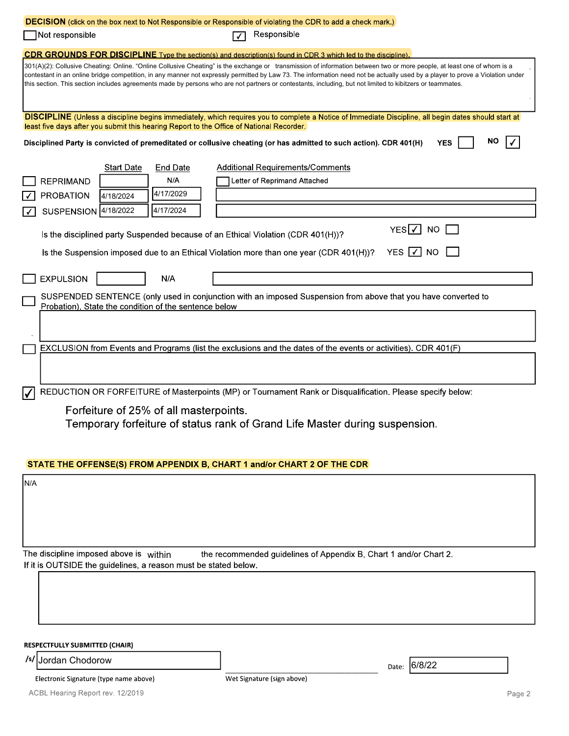| Not responsible                           |                                                                 | DECISION (click on the box next to Not Responsible or Responsible of violating the CDR to add a check mark.)<br>Responsible<br>$\sqrt{}$                                                                                                                                                                                                                                                                                                                                                                              |                          |                                 |
|-------------------------------------------|-----------------------------------------------------------------|-----------------------------------------------------------------------------------------------------------------------------------------------------------------------------------------------------------------------------------------------------------------------------------------------------------------------------------------------------------------------------------------------------------------------------------------------------------------------------------------------------------------------|--------------------------|---------------------------------|
|                                           |                                                                 | CDR GROUNDS FOR DISCIPLINE Type the section(s) and description(s) found in CDR 3 which led to the discipline).                                                                                                                                                                                                                                                                                                                                                                                                        |                          |                                 |
|                                           |                                                                 | 301(A)(2): Collusive Cheating: Online. "Online Collusive Cheating" is the exchange or transmission of information between two or more people, at least one of whom is a<br>contestant in an online bridge competition, in any manner not expressly permitted by Law 73. The information need not be actually used by a player to prove a Violation under<br>this section. This section includes agreements made by persons who are not partners or contestants, including, but not limited to kibitzers or teammates. |                          |                                 |
|                                           |                                                                 | DISCIPLINE (Unless a discipline begins immediately, which requires you to complete a Notice of Immediate Discipline, all begin dates should start at<br>least five days after you submit this hearing Report to the Office of National Recorder.                                                                                                                                                                                                                                                                      |                          |                                 |
|                                           |                                                                 | Disciplined Party is convicted of premeditated or collusive cheating (or has admitted to such action). CDR 401(H)                                                                                                                                                                                                                                                                                                                                                                                                     | <b>YES</b>               | <b>NO</b><br>$\vert \checkmark$ |
|                                           | <b>Start Date</b><br>End Date                                   | <b>Additional Requirements/Comments</b>                                                                                                                                                                                                                                                                                                                                                                                                                                                                               |                          |                                 |
| $\Box$ REPRIMAND                          | N/A                                                             | Letter of Reprimand Attached                                                                                                                                                                                                                                                                                                                                                                                                                                                                                          |                          |                                 |
| $\sqrt{ }$ PROBATION                      | 4/17/2029<br>4/18/2024                                          |                                                                                                                                                                                                                                                                                                                                                                                                                                                                                                                       |                          |                                 |
| $\boxed{\checkmark}$ SUSPENSION 4/18/2022 | 4/17/2024                                                       |                                                                                                                                                                                                                                                                                                                                                                                                                                                                                                                       |                          |                                 |
|                                           |                                                                 | Is the disciplined party Suspended because of an Ethical Violation (CDR 401(H))?                                                                                                                                                                                                                                                                                                                                                                                                                                      | YES $\sqrt{ }$ NO $\Box$ |                                 |
|                                           |                                                                 | Is the Suspension imposed due to an Ethical Violation more than one year (CDR 401(H))? YES V NO                                                                                                                                                                                                                                                                                                                                                                                                                       |                          |                                 |
|                                           |                                                                 |                                                                                                                                                                                                                                                                                                                                                                                                                                                                                                                       |                          |                                 |
| $\Box$ EXPULSION                          | N/A                                                             |                                                                                                                                                                                                                                                                                                                                                                                                                                                                                                                       |                          |                                 |
|                                           | Probation). State the condition of the sentence below           | SUSPENDED SENTENCE (only used in conjunction with an imposed Suspension from above that you have converted to                                                                                                                                                                                                                                                                                                                                                                                                         |                          |                                 |
|                                           |                                                                 |                                                                                                                                                                                                                                                                                                                                                                                                                                                                                                                       |                          |                                 |
|                                           |                                                                 | EXCLUSION from Events and Programs (list the exclusions and the dates of the events or activities). CDR 401(F)                                                                                                                                                                                                                                                                                                                                                                                                        |                          |                                 |
|                                           |                                                                 |                                                                                                                                                                                                                                                                                                                                                                                                                                                                                                                       |                          |                                 |
|                                           |                                                                 | REDUCTION OR FORFEITURE of Masterpoints (MP) or Tournament Rank or Disqualification. Please specify below:                                                                                                                                                                                                                                                                                                                                                                                                            |                          |                                 |
|                                           | Forfeiture of 25% of all masterpoints.                          | Temporary forfeiture of status rank of Grand Life Master during suspension.                                                                                                                                                                                                                                                                                                                                                                                                                                           |                          |                                 |
|                                           |                                                                 | STATE THE OFFENSE(S) FROM APPENDIX B, CHART 1 and/or CHART 2 OF THE CDR                                                                                                                                                                                                                                                                                                                                                                                                                                               |                          |                                 |
| N/A                                       |                                                                 |                                                                                                                                                                                                                                                                                                                                                                                                                                                                                                                       |                          |                                 |
|                                           |                                                                 |                                                                                                                                                                                                                                                                                                                                                                                                                                                                                                                       |                          |                                 |
|                                           |                                                                 |                                                                                                                                                                                                                                                                                                                                                                                                                                                                                                                       |                          |                                 |
|                                           |                                                                 |                                                                                                                                                                                                                                                                                                                                                                                                                                                                                                                       |                          |                                 |
| The discipline imposed above is within    |                                                                 | the recommended guidelines of Appendix B, Chart 1 and/or Chart 2.                                                                                                                                                                                                                                                                                                                                                                                                                                                     |                          |                                 |
|                                           | If it is OUTSIDE the guidelines, a reason must be stated below. |                                                                                                                                                                                                                                                                                                                                                                                                                                                                                                                       |                          |                                 |
|                                           |                                                                 |                                                                                                                                                                                                                                                                                                                                                                                                                                                                                                                       |                          |                                 |
|                                           |                                                                 |                                                                                                                                                                                                                                                                                                                                                                                                                                                                                                                       |                          |                                 |
|                                           |                                                                 |                                                                                                                                                                                                                                                                                                                                                                                                                                                                                                                       |                          |                                 |
| <b>RESPECTFULLY SUBMITTED (CHAIR)</b>     |                                                                 |                                                                                                                                                                                                                                                                                                                                                                                                                                                                                                                       |                          |                                 |
| /s/ Jordan Chodorow                       |                                                                 |                                                                                                                                                                                                                                                                                                                                                                                                                                                                                                                       |                          |                                 |
| Electronic Signature (type name above)    |                                                                 | Wet Signature (sign above)                                                                                                                                                                                                                                                                                                                                                                                                                                                                                            | 6/8/22<br>Date:          |                                 |
| ACBL Hearing Report rev. 12/2019          |                                                                 |                                                                                                                                                                                                                                                                                                                                                                                                                                                                                                                       |                          | Page 2                          |
|                                           |                                                                 |                                                                                                                                                                                                                                                                                                                                                                                                                                                                                                                       |                          |                                 |
|                                           |                                                                 |                                                                                                                                                                                                                                                                                                                                                                                                                                                                                                                       |                          |                                 |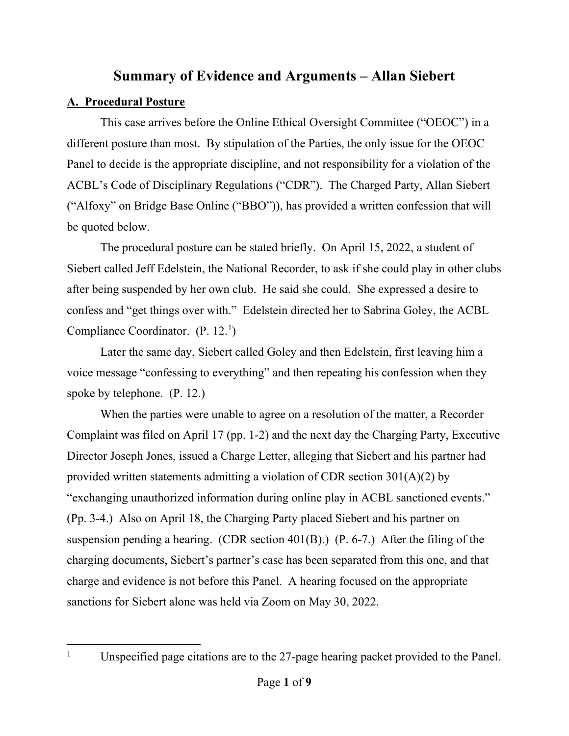# **Summary of Evidence and Arguments – Allan Siebert**

## **A. Procedural Posture**

This case arrives before the Online Ethical Oversight Committee ("OEOC") in a different posture than most. By stipulation of the Parties, the only issue for the OEOC Panel to decide is the appropriate discipline, and not responsibility for a violation of the ACBL's Code of Disciplinary Regulations ("CDR"). The Charged Party, Allan Siebert ("Alfoxy" on Bridge Base Online ("BBO")), has provided a written confession that will be quoted below.

The procedural posture can be stated briefly. On April 15, 2022, a student of Siebert called Jeff Edelstein, the National Recorder, to ask if she could play in other clubs after being suspended by her own club. He said she could. She expressed a desire to confess and "get things over with." Edelstein directed her to Sabrina Goley, the ACBL Compliance Coordinator. (P. 12.<sup>1</sup>)

Later the same day, Siebert called Goley and then Edelstein, first leaving him a voice message "confessing to everything" and then repeating his confession when they spoke by telephone. (P. 12.)

When the parties were unable to agree on a resolution of the matter, a Recorder Complaint was filed on April 17 (pp. 1-2) and the next day the Charging Party, Executive Director Joseph Jones, issued a Charge Letter, alleging that Siebert and his partner had provided written statements admitting a violation of CDR section 301(A)(2) by "exchanging unauthorized information during online play in ACBL sanctioned events." (Pp. 3-4.) Also on April 18, the Charging Party placed Siebert and his partner on suspension pending a hearing. (CDR section 401(B).) (P. 6-7.) After the filing of the charging documents, Siebert's partner's case has been separated from this one, and that charge and evidence is not before this Panel. A hearing focused on the appropriate sanctions for Siebert alone was held via Zoom on May 30, 2022.

<span id="page-2-0"></span><sup>&</sup>lt;sup>1</sup> Unspecified page citations are to the 27-page hearing packet provided to the Panel.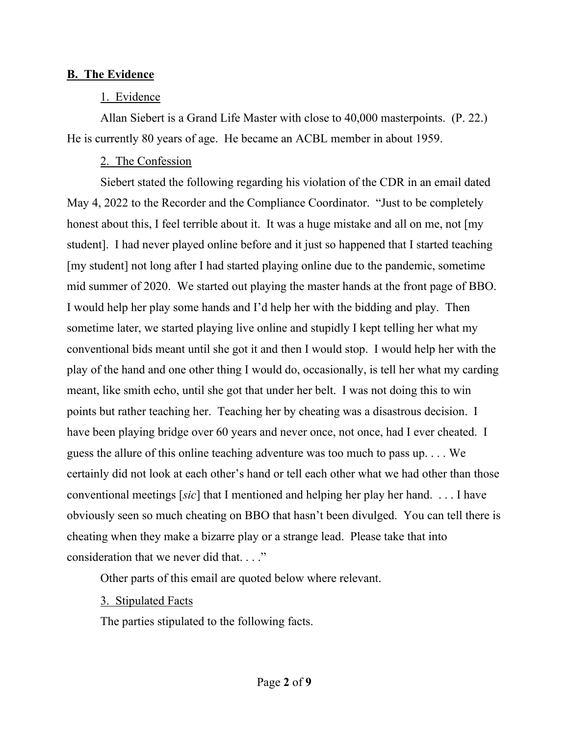### **B. The Evidence**

### 1. Evidence

Allan Siebert is a Grand Life Master with close to 40,000 masterpoints. (P. 22.) He is currently 80 years of age. He became an ACBL member in about 1959.

## 2. The Confession

Siebert stated the following regarding his violation of the CDR in an email dated May 4, 2022 to the Recorder and the Compliance Coordinator. "Just to be completely honest about this, I feel terrible about it. It was a huge mistake and all on me, not [my student]. I had never played online before and it just so happened that I started teaching [my student] not long after I had started playing online due to the pandemic, sometime mid summer of 2020. We started out playing the master hands at the front page of BBO. I would help her play some hands and I'd help her with the bidding and play. Then sometime later, we started playing live online and stupidly I kept telling her what my conventional bids meant until she got it and then I would stop. I would help her with the play of the hand and one other thing I would do, occasionally, is tell her what my carding meant, like smith echo, until she got that under her belt. I was not doing this to win points but rather teaching her. Teaching her by cheating was a disastrous decision. I have been playing bridge over 60 years and never once, not once, had I ever cheated. I guess the allure of this online teaching adventure was too much to pass up. . . . We certainly did not look at each other's hand or tell each other what we had other than those conventional meetings [*sic*] that I mentioned and helping her play her hand. . . . I have obviously seen so much cheating on BBO that hasn't been divulged. You can tell there is cheating when they make a bizarre play or a strange lead. Please take that into consideration that we never did that. . . ."

Other parts of this email are quoted below where relevant.

3. Stipulated Facts

The parties stipulated to the following facts.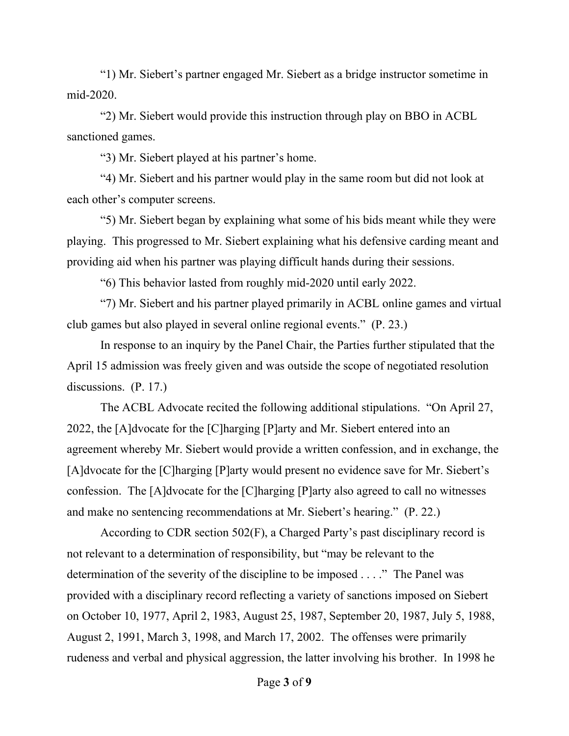"1) Mr. Siebert's partner engaged Mr. Siebert as a bridge instructor sometime in mid-2020.

"2) Mr. Siebert would provide this instruction through play on BBO in ACBL sanctioned games.

"3) Mr. Siebert played at his partner's home.

"4) Mr. Siebert and his partner would play in the same room but did not look at each other's computer screens.

"5) Mr. Siebert began by explaining what some of his bids meant while they were playing. This progressed to Mr. Siebert explaining what his defensive carding meant and providing aid when his partner was playing difficult hands during their sessions.

"6) This behavior lasted from roughly mid-2020 until early 2022.

"7) Mr. Siebert and his partner played primarily in ACBL online games and virtual club games but also played in several online regional events." (P. 23.)

In response to an inquiry by the Panel Chair, the Parties further stipulated that the April 15 admission was freely given and was outside the scope of negotiated resolution discussions. (P. 17.)

The ACBL Advocate recited the following additional stipulations. "On April 27, 2022, the [A]dvocate for the [C]harging [P]arty and Mr. Siebert entered into an agreement whereby Mr. Siebert would provide a written confession, and in exchange, the [A]dvocate for the [C]harging [P]arty would present no evidence save for Mr. Siebert's confession. The [A]dvocate for the [C]harging [P]arty also agreed to call no witnesses and make no sentencing recommendations at Mr. Siebert's hearing." (P. 22.)

According to CDR section 502(F), a Charged Party's past disciplinary record is not relevant to a determination of responsibility, but "may be relevant to the determination of the severity of the discipline to be imposed . . . ." The Panel was provided with a disciplinary record reflecting a variety of sanctions imposed on Siebert on October 10, 1977, April 2, 1983, August 25, 1987, September 20, 1987, July 5, 1988, August 2, 1991, March 3, 1998, and March 17, 2002. The offenses were primarily rudeness and verbal and physical aggression, the latter involving his brother. In 1998 he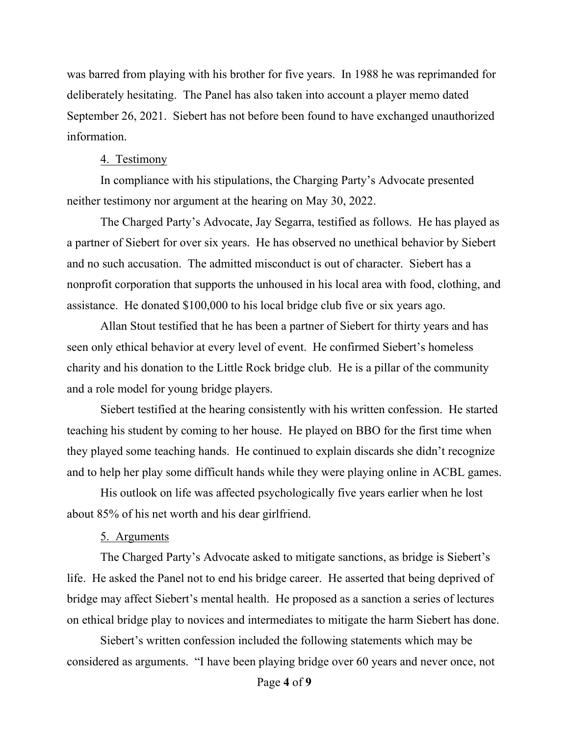was barred from playing with his brother for five years. In 1988 he was reprimanded for deliberately hesitating. The Panel has also taken into account a player memo dated September 26, 2021. Siebert has not before been found to have exchanged unauthorized information.

#### 4. Testimony

In compliance with his stipulations, the Charging Party's Advocate presented neither testimony nor argument at the hearing on May 30, 2022.

The Charged Party's Advocate, Jay Segarra, testified as follows. He has played as a partner of Siebert for over six years. He has observed no unethical behavior by Siebert and no such accusation. The admitted misconduct is out of character. Siebert has a nonprofit corporation that supports the unhoused in his local area with food, clothing, and assistance. He donated \$100,000 to his local bridge club five or six years ago.

Allan Stout testified that he has been a partner of Siebert for thirty years and has seen only ethical behavior at every level of event. He confirmed Siebert's homeless charity and his donation to the Little Rock bridge club. He is a pillar of the community and a role model for young bridge players.

Siebert testified at the hearing consistently with his written confession. He started teaching his student by coming to her house. He played on BBO for the first time when they played some teaching hands. He continued to explain discards she didn't recognize and to help her play some difficult hands while they were playing online in ACBL games.

His outlook on life was affected psychologically five years earlier when he lost about 85% of his net worth and his dear girlfriend.

#### 5. Arguments

The Charged Party's Advocate asked to mitigate sanctions, as bridge is Siebert's life. He asked the Panel not to end his bridge career. He asserted that being deprived of bridge may affect Siebert's mental health. He proposed as a sanction a series of lectures on ethical bridge play to novices and intermediates to mitigate the harm Siebert has done.

Siebert's written confession included the following statements which may be considered as arguments. "I have been playing bridge over 60 years and never once, not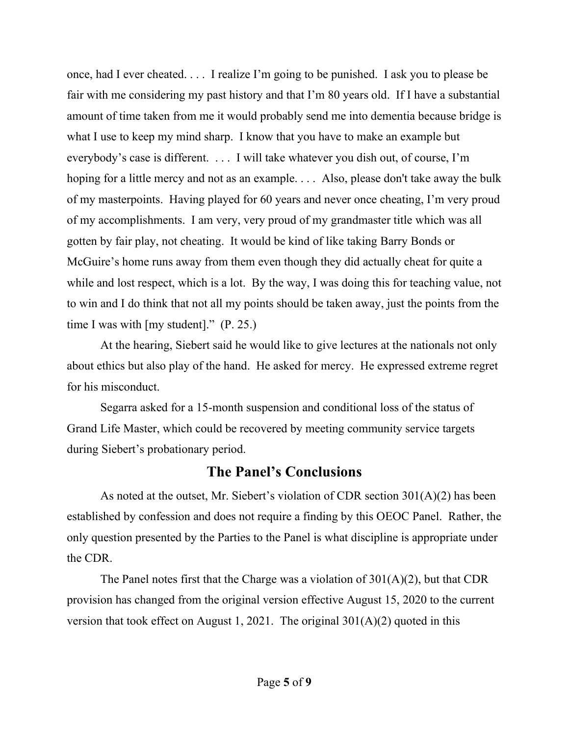once, had I ever cheated. . . . I realize I'm going to be punished. I ask you to please be fair with me considering my past history and that I'm 80 years old. If I have a substantial amount of time taken from me it would probably send me into dementia because bridge is what I use to keep my mind sharp. I know that you have to make an example but everybody's case is different. . . . I will take whatever you dish out, of course, I'm hoping for a little mercy and not as an example. . . . Also, please don't take away the bulk of my masterpoints. Having played for 60 years and never once cheating, I'm very proud of my accomplishments. I am very, very proud of my grandmaster title which was all gotten by fair play, not cheating. It would be kind of like taking Barry Bonds or McGuire's home runs away from them even though they did actually cheat for quite a while and lost respect, which is a lot. By the way, I was doing this for teaching value, not to win and I do think that not all my points should be taken away, just the points from the time I was with [my student]." (P. 25.)

At the hearing, Siebert said he would like to give lectures at the nationals not only about ethics but also play of the hand. He asked for mercy. He expressed extreme regret for his misconduct.

Segarra asked for a 15-month suspension and conditional loss of the status of Grand Life Master, which could be recovered by meeting community service targets during Siebert's probationary period.

# **The Panel's Conclusions**

As noted at the outset, Mr. Siebert's violation of CDR section 301(A)(2) has been established by confession and does not require a finding by this OEOC Panel. Rather, the only question presented by the Parties to the Panel is what discipline is appropriate under the CDR.

The Panel notes first that the Charge was a violation of 301(A)(2), but that CDR provision has changed from the original version effective August 15, 2020 to the current version that took effect on August 1, 2021. The original  $301(A)(2)$  quoted in this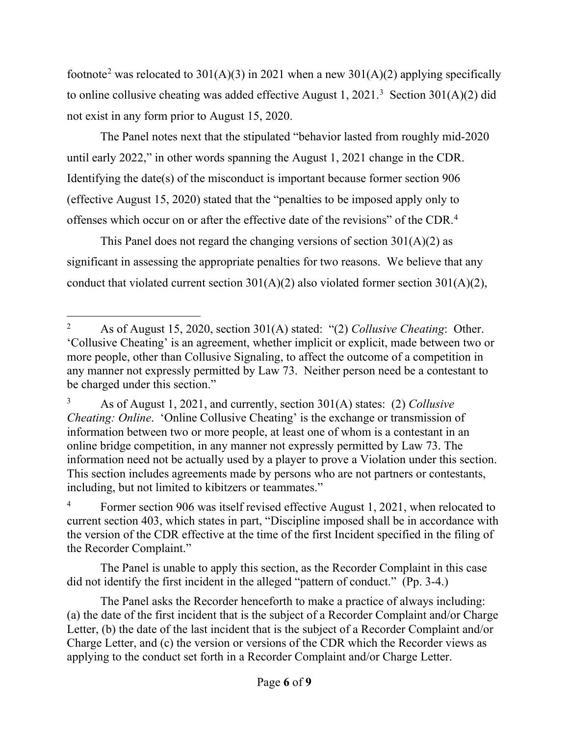footnote<sup>[2](#page-7-0)</sup> was relocated to 301(A)(3) in 2021 when a new 301(A)(2) applying specifically to online collusive cheating was added effective August 1, 2021.<sup>[3](#page-7-1)</sup> Section 301(A)(2) did not exist in any form prior to August 15, 2020.

The Panel notes next that the stipulated "behavior lasted from roughly mid-2020 until early 2022," in other words spanning the August 1, 2021 change in the CDR. Identifying the date(s) of the misconduct is important because former section 906 (effective August 15, 2020) stated that the "penalties to be imposed apply only to offenses which occur on or after the effective date of the revisions" of the CDR. [4](#page-7-2)

This Panel does not regard the changing versions of section  $301(A)(2)$  as significant in assessing the appropriate penalties for two reasons. We believe that any conduct that violated current section  $301(A)(2)$  also violated former section  $301(A)(2)$ ,

<span id="page-7-2"></span>Former section 906 was itself revised effective August 1, 2021, when relocated to current section 403, which states in part, "Discipline imposed shall be in accordance with the version of the CDR effective at the time of the first Incident specified in the filing of the Recorder Complaint."

The Panel is unable to apply this section, as the Recorder Complaint in this case did not identify the first incident in the alleged "pattern of conduct." (Pp. 3-4.)

The Panel asks the Recorder henceforth to make a practice of always including: (a) the date of the first incident that is the subject of a Recorder Complaint and/or Charge Letter, (b) the date of the last incident that is the subject of a Recorder Complaint and/or Charge Letter, and (c) the version or versions of the CDR which the Recorder views as applying to the conduct set forth in a Recorder Complaint and/or Charge Letter.

<span id="page-7-0"></span><sup>2</sup> As of August 15, 2020, section 301(A) stated: "(2) *Collusive Cheating*: Other. 'Collusive Cheating' is an agreement, whether implicit or explicit, made between two or more people, other than Collusive Signaling, to affect the outcome of a competition in any manner not expressly permitted by Law 73. Neither person need be a contestant to be charged under this section."

<span id="page-7-1"></span><sup>3</sup> As of August 1, 2021, and currently, section 301(A) states: (2) *Collusive Cheating: Online*. 'Online Collusive Cheating' is the exchange or transmission of information between two or more people, at least one of whom is a contestant in an online bridge competition, in any manner not expressly permitted by Law 73. The information need not be actually used by a player to prove a Violation under this section. This section includes agreements made by persons who are not partners or contestants, including, but not limited to kibitzers or teammates."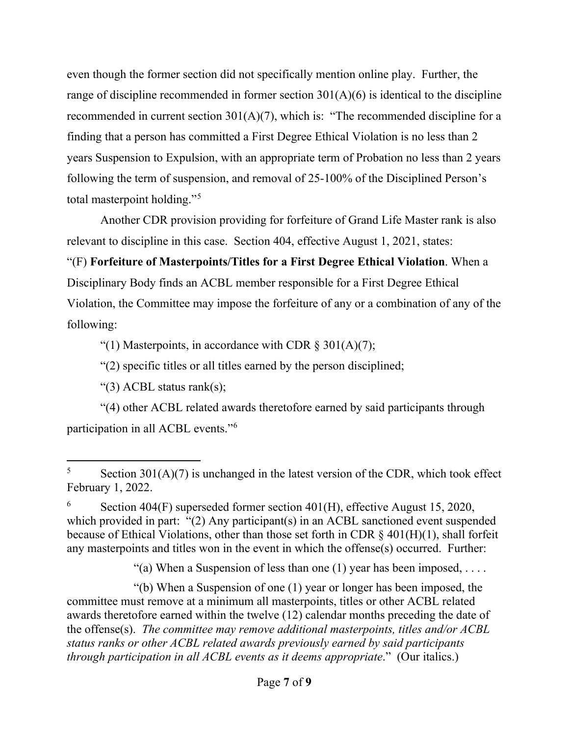even though the former section did not specifically mention online play. Further, the range of discipline recommended in former section  $301(A)(6)$  is identical to the discipline recommended in current section  $301(A)(7)$ , which is: "The recommended discipline for a finding that a person has committed a First Degree Ethical Violation is no less than 2 years Suspension to Expulsion, with an appropriate term of Probation no less than 2 years following the term of suspension, and removal of 25-100% of the Disciplined Person's total masterpoint holding."<sup>[5](#page-8-0)</sup>

Another CDR provision providing for forfeiture of Grand Life Master rank is also relevant to discipline in this case. Section 404, effective August 1, 2021, states:

"(F) **Forfeiture of Masterpoints/Titles for a First Degree Ethical Violation**. When a Disciplinary Body finds an ACBL member responsible for a First Degree Ethical Violation, the Committee may impose the forfeiture of any or a combination of any of the following:

"(1) Masterpoints, in accordance with CDR  $\S 301(A)(7)$ ;

"(2) specific titles or all titles earned by the person disciplined;

"(3) ACBL status rank(s);

"(4) other ACBL related awards theretofore earned by said participants through participation in all ACBL events."[6](#page-8-1)

"(a) When a Suspension of less than one (1) year has been imposed,  $\dots$ .

"(b) When a Suspension of one (1) year or longer has been imposed, the committee must remove at a minimum all masterpoints, titles or other ACBL related awards theretofore earned within the twelve (12) calendar months preceding the date of the offense(s). *The committee may remove additional masterpoints, titles and/or ACBL status ranks or other ACBL related awards previously earned by said participants through participation in all ACBL events as it deems appropriate*." (Our italics.)

<span id="page-8-0"></span> $5$  Section 301(A)(7) is unchanged in the latest version of the CDR, which took effect February 1, 2022.

<span id="page-8-1"></span><sup>6</sup> Section 404(F) superseded former section 401(H), effective August 15, 2020, which provided in part: "(2) Any participant(s) in an ACBL sanctioned event suspended because of Ethical Violations, other than those set forth in CDR § 401(H)(1), shall forfeit any masterpoints and titles won in the event in which the offense(s) occurred. Further: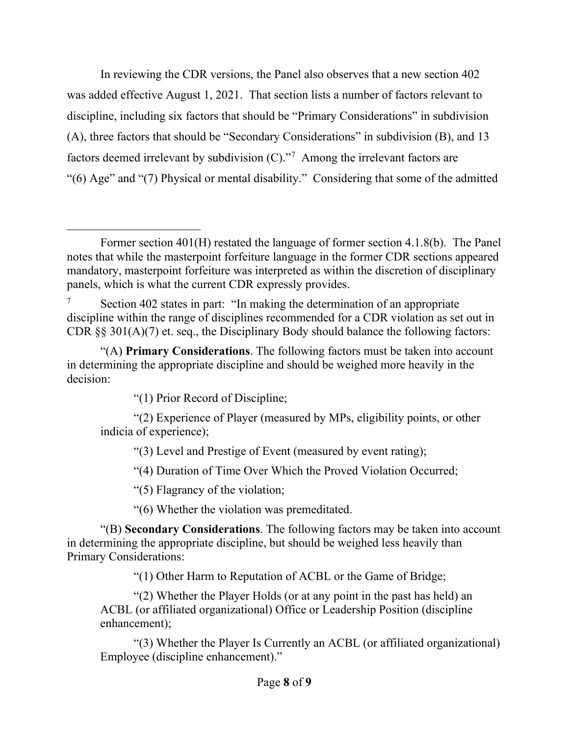In reviewing the CDR versions, the Panel also observes that a new section 402 was added effective August 1, 2021. That section lists a number of factors relevant to discipline, including six factors that should be "Primary Considerations" in subdivision (A), three factors that should be "Secondary Considerations" in subdivision (B), and 13 factors deemed irrelevant by subdivision (C)."[7](#page-9-0) Among the irrelevant factors are "(6) Age" and "(7) Physical or mental disability." Considering that some of the admitted

"(1) Prior Record of Discipline;

"(2) Experience of Player (measured by MPs, eligibility points, or other indicia of experience);

"(3) Level and Prestige of Event (measured by event rating);

"(4) Duration of Time Over Which the Proved Violation Occurred;

"(5) Flagrancy of the violation;

"(6) Whether the violation was premeditated.

"(B) **Secondary Considerations**. The following factors may be taken into account in determining the appropriate discipline, but should be weighed less heavily than Primary Considerations:

"(1) Other Harm to Reputation of ACBL or the Game of Bridge;

"(2) Whether the Player Holds (or at any point in the past has held) an ACBL (or affiliated organizational) Office or Leadership Position (discipline enhancement);

"(3) Whether the Player Is Currently an ACBL (or affiliated organizational) Employee (discipline enhancement)."

Former section 401(H) restated the language of former section 4.1.8(b). The Panel notes that while the masterpoint forfeiture language in the former CDR sections appeared mandatory, masterpoint forfeiture was interpreted as within the discretion of disciplinary panels, which is what the current CDR expressly provides.

<span id="page-9-0"></span> $7$  Section 402 states in part: "In making the determination of an appropriate discipline within the range of disciplines recommended for a CDR violation as set out in CDR  $\S$ § 301(A)(7) et. seq., the Disciplinary Body should balance the following factors:

<sup>&</sup>quot;(A) **Primary Considerations**. The following factors must be taken into account in determining the appropriate discipline and should be weighed more heavily in the decision: